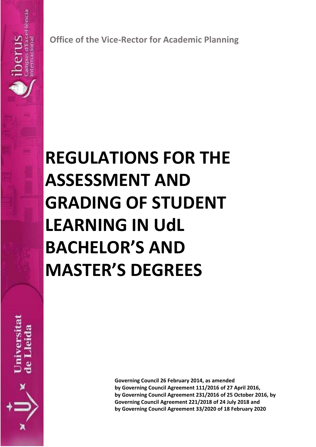**Office of the Vice-Rector for Academic Planning**

# **REGULATIONS FOR THE ASSESSMENT AND GRADING OF STUDENT LEARNING IN UdL BACHELOR'S AND MASTER'S DEGREES**

**Jniversita** 

ënci

iaciona

**Governing Council 26 February 2014, as amended by Governing Council Agreement 111/2016 of 27 April 2016, by Governing Council Agreement 231/2016 of 25 October 2016, by Governing Council Agreement 221/2018 of 24 July 2018 and by Governing Council Agreement 33/2020 of 18 February 2020**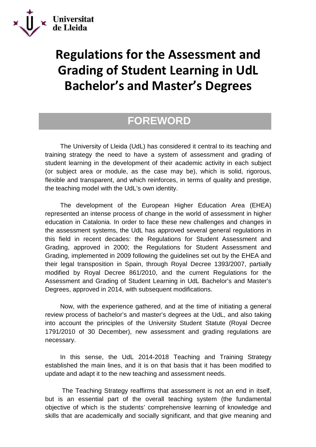

# **Regulations for the Assessment and Grading of Student Learning in UdL Bachelor's and Master's Degrees**

### **FOREWORD**

The University of Lleida (UdL) has considered it central to its teaching and training strategy the need to have a system of assessment and grading of student learning in the development of their academic activity in each subject (or subject area or module, as the case may be), which is solid, rigorous, flexible and transparent, and which reinforces, in terms of quality and prestige, the teaching model with the UdL's own identity.

The development of the European Higher Education Area (EHEA) represented an intense process of change in the world of assessment in higher education in Catalonia. In order to face these new challenges and changes in the assessment systems, the UdL has approved several general regulations in this field in recent decades: the Regulations for Student Assessment and Grading, approved in 2000; the Regulations for Student Assessment and Grading, implemented in 2009 following the guidelines set out by the EHEA and their legal transposition in Spain, through Royal Decree 1393/2007, partially modified by Royal Decree 861/2010, and the current Regulations for the Assessment and Grading of Student Learning in UdL Bachelor's and Master's Degrees, approved in 2014, with subsequent modifications.

Now, with the experience gathered, and at the time of initiating a general review process of bachelor's and master's degrees at the UdL, and also taking into account the principles of the University Student Statute (Royal Decree 1791/2010 of 30 December), new assessment and grading regulations are necessary.

In this sense, the UdL 2014-2018 Teaching and Training Strategy established the main lines, and it is on that basis that it has been modified to update and adapt it to the new teaching and assessment needs.

The Teaching Strategy reaffirms that assessment is not an end in itself, but is an essential part of the overall teaching system (the fundamental objective of which is the students' comprehensive learning of knowledge and skills that are academically and socially significant, and that give meaning and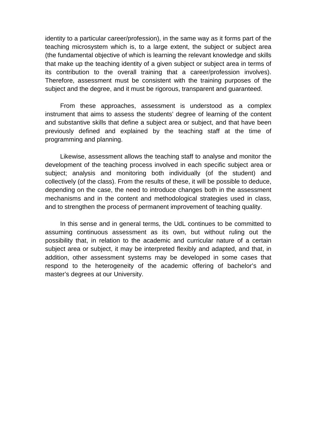identity to a particular career/profession), in the same way as it forms part of the teaching microsystem which is, to a large extent, the subject or subject area (the fundamental objective of which is learning the relevant knowledge and skills that make up the teaching identity of a given subject or subject area in terms of its contribution to the overall training that a career/profession involves). Therefore, assessment must be consistent with the training purposes of the subject and the degree, and it must be rigorous, transparent and guaranteed.

From these approaches, assessment is understood as a complex instrument that aims to assess the students' degree of learning of the content and substantive skills that define a subject area or subject, and that have been previously defined and explained by the teaching staff at the time of programming and planning.

Likewise, assessment allows the teaching staff to analyse and monitor the development of the teaching process involved in each specific subject area or subject; analysis and monitoring both individually (of the student) and collectively (of the class). From the results of these, it will be possible to deduce, depending on the case, the need to introduce changes both in the assessment mechanisms and in the content and methodological strategies used in class, and to strengthen the process of permanent improvement of teaching quality.

In this sense and in general terms, the UdL continues to be committed to assuming continuous assessment as its own, but without ruling out the possibility that, in relation to the academic and curricular nature of a certain subject area or subject, it may be interpreted flexibly and adapted, and that, in addition, other assessment systems may be developed in some cases that respond to the heterogeneity of the academic offering of bachelor's and master's degrees at our University.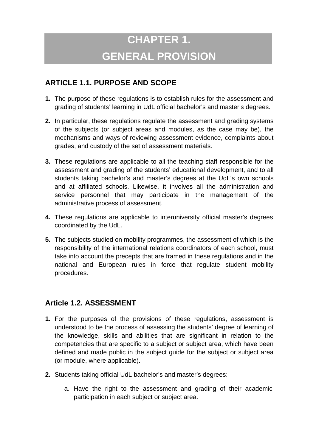# **CHAPTER 1. GENERAL PROVISION**

#### **ARTICLE 1.1. PURPOSE AND SCOPE**

- **1.** The purpose of these regulations is to establish rules for the assessment and grading of students' learning in UdL official bachelor's and master's degrees.
- **2.** In particular, these regulations regulate the assessment and grading systems of the subjects (or subject areas and modules, as the case may be), the mechanisms and ways of reviewing assessment evidence, complaints about grades, and custody of the set of assessment materials.
- **3.** These regulations are applicable to all the teaching staff responsible for the assessment and grading of the students' educational development, and to all students taking bachelor's and master's degrees at the UdL's own schools and at affiliated schools. Likewise, it involves all the administration and service personnel that may participate in the management of the administrative process of assessment.
- **4.** These regulations are applicable to interuniversity official master's degrees coordinated by the UdL.
- **5.** The subjects studied on mobility programmes, the assessment of which is the responsibility of the international relations coordinators of each school, must take into account the precepts that are framed in these regulations and in the national and European rules in force that regulate student mobility procedures.

#### **Article 1.2. ASSESSMENT**

- **1.** For the purposes of the provisions of these regulations, assessment is understood to be the process of assessing the students' degree of learning of the knowledge, skills and abilities that are significant in relation to the competencies that are specific to a subject or subject area, which have been defined and made public in the subject guide for the subject or subject area (or module, where applicable).
- **2.** Students taking official UdL bachelor's and master's degrees:
	- a. Have the right to the assessment and grading of their academic participation in each subject or subject area.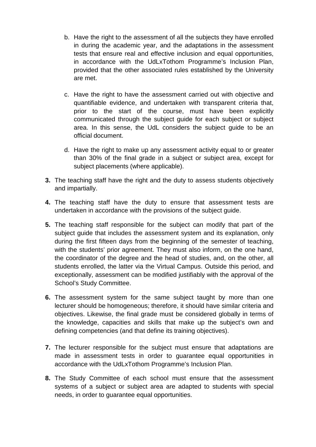- b. Have the right to the assessment of all the subjects they have enrolled in during the academic year, and the adaptations in the assessment tests that ensure real and effective inclusion and equal opportunities, in accordance with the UdLxTothom Programme's Inclusion Plan, provided that the other associated rules established by the University are met.
- c. Have the right to have the assessment carried out with objective and quantifiable evidence, and undertaken with transparent criteria that, prior to the start of the course, must have been explicitly communicated through the subject guide for each subject or subject area. In this sense, the UdL considers the subject guide to be an official document.
- d. Have the right to make up any assessment activity equal to or greater than 30% of the final grade in a subject or subject area, except for subject placements (where applicable).
- **3.** The teaching staff have the right and the duty to assess students objectively and impartially.
- **4.** The teaching staff have the duty to ensure that assessment tests are undertaken in accordance with the provisions of the subject guide.
- **5.** The teaching staff responsible for the subject can modify that part of the subject guide that includes the assessment system and its explanation, only during the first fifteen days from the beginning of the semester of teaching, with the students' prior agreement. They must also inform, on the one hand, the coordinator of the degree and the head of studies, and, on the other, all students enrolled, the latter via the Virtual Campus. Outside this period, and exceptionally, assessment can be modified justifiably with the approval of the School's Study Committee.
- **6.** The assessment system for the same subject taught by more than one lecturer should be homogeneous; therefore, it should have similar criteria and objectives. Likewise, the final grade must be considered globally in terms of the knowledge, capacities and skills that make up the subject's own and defining competencies (and that define its training objectives).
- **7.** The lecturer responsible for the subject must ensure that adaptations are made in assessment tests in order to guarantee equal opportunities in accordance with the UdLxTothom Programme's Inclusion Plan.
- **8.** The Study Committee of each school must ensure that the assessment systems of a subject or subject area are adapted to students with special needs, in order to guarantee equal opportunities.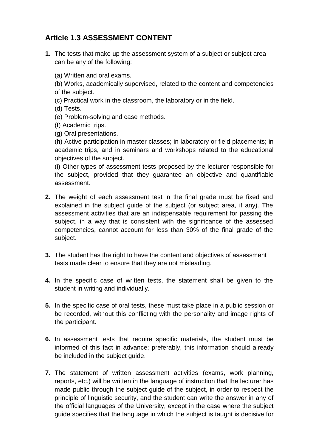#### **Article 1.3 ASSESSMENT CONTENT**

**1.** The tests that make up the assessment system of a subject or subject area can be any of the following:

(a) Written and oral exams.

(b) Works, academically supervised, related to the content and competencies of the subject.

(c) Practical work in the classroom, the laboratory or in the field.

(d) Tests.

(e) Problem-solving and case methods.

(f) Academic trips.

(g) Oral presentations.

(h) Active participation in master classes; in laboratory or field placements; in academic trips, and in seminars and workshops related to the educational objectives of the subject.

(i) Other types of assessment tests proposed by the lecturer responsible for the subject, provided that they guarantee an objective and quantifiable assessment.

- **2.** The weight of each assessment test in the final grade must be fixed and explained in the subject guide of the subject (or subject area, if any). The assessment activities that are an indispensable requirement for passing the subject, in a way that is consistent with the significance of the assessed competencies, cannot account for less than 30% of the final grade of the subject.
- **3.** The student has the right to have the content and objectives of assessment tests made clear to ensure that they are not misleading.
- **4.** In the specific case of written tests, the statement shall be given to the student in writing and individually.
- **5.** In the specific case of oral tests, these must take place in a public session or be recorded, without this conflicting with the personality and image rights of the participant.
- **6.** In assessment tests that require specific materials, the student must be informed of this fact in advance; preferably, this information should already be included in the subject guide.
- **7.** The statement of written assessment activities (exams, work planning, reports, etc.) will be written in the language of instruction that the lecturer has made public through the subject guide of the subject, in order to respect the principle of linguistic security, and the student can write the answer in any of the official languages of the University, except in the case where the subject guide specifies that the language in which the subject is taught is decisive for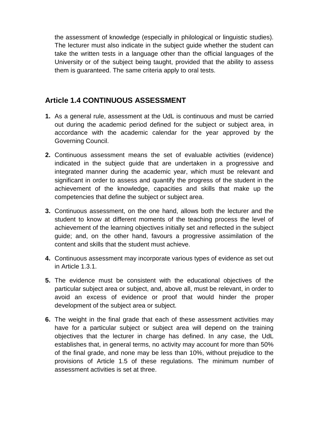the assessment of knowledge (especially in philological or linguistic studies). The lecturer must also indicate in the subject guide whether the student can take the written tests in a language other than the official languages of the University or of the subject being taught, provided that the ability to assess them is guaranteed. The same criteria apply to oral tests.

#### **Article 1.4 CONTINUOUS ASSESSMENT**

- **1.** As a general rule, assessment at the UdL is continuous and must be carried out during the academic period defined for the subject or subject area, in accordance with the academic calendar for the year approved by the Governing Council.
- **2.** Continuous assessment means the set of evaluable activities (evidence) indicated in the subject guide that are undertaken in a progressive and integrated manner during the academic year, which must be relevant and significant in order to assess and quantify the progress of the student in the achievement of the knowledge, capacities and skills that make up the competencies that define the subject or subject area.
- **3.** Continuous assessment, on the one hand, allows both the lecturer and the student to know at different moments of the teaching process the level of achievement of the learning objectives initially set and reflected in the subject guide; and, on the other hand, favours a progressive assimilation of the content and skills that the student must achieve.
- **4.** Continuous assessment may incorporate various types of evidence as set out in Article 1.3.1.
- **5.** The evidence must be consistent with the educational objectives of the particular subject area or subject, and, above all, must be relevant, in order to avoid an excess of evidence or proof that would hinder the proper development of the subject area or subject.
- **6.** The weight in the final grade that each of these assessment activities may have for a particular subject or subject area will depend on the training objectives that the lecturer in charge has defined. In any case, the UdL establishes that, in general terms, no activity may account for more than 50% of the final grade, and none may be less than 10%, without prejudice to the provisions of Article 1.5 of these regulations. The minimum number of assessment activities is set at three.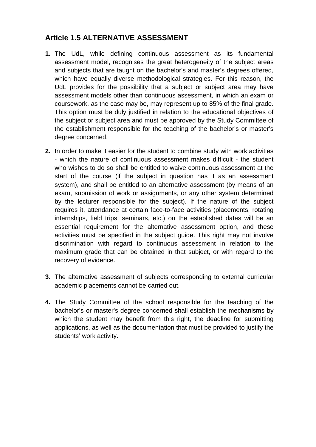#### **Article 1.5 ALTERNATIVE ASSESSMENT**

- **1.** The UdL, while defining continuous assessment as its fundamental assessment model, recognises the great heterogeneity of the subject areas and subjects that are taught on the bachelor's and master's degrees offered, which have equally diverse methodological strategies. For this reason, the UdL provides for the possibility that a subject or subject area may have assessment models other than continuous assessment, in which an exam or coursework, as the case may be, may represent up to 85% of the final grade. This option must be duly justified in relation to the educational objectives of the subject or subject area and must be approved by the Study Committee of the establishment responsible for the teaching of the bachelor's or master's degree concerned.
- **2.** In order to make it easier for the student to combine study with work activities - which the nature of continuous assessment makes difficult - the student who wishes to do so shall be entitled to waive continuous assessment at the start of the course (if the subject in question has it as an assessment system), and shall be entitled to an alternative assessment (by means of an exam, submission of work or assignments, or any other system determined by the lecturer responsible for the subject). If the nature of the subject requires it, attendance at certain face-to-face activities (placements, rotating internships, field trips, seminars, etc.) on the established dates will be an essential requirement for the alternative assessment option, and these activities must be specified in the subject guide. This right may not involve discrimination with regard to continuous assessment in relation to the maximum grade that can be obtained in that subject, or with regard to the recovery of evidence.
- **3.** The alternative assessment of subjects corresponding to external curricular academic placements cannot be carried out.
- **4.** The Study Committee of the school responsible for the teaching of the bachelor's or master's degree concerned shall establish the mechanisms by which the student may benefit from this right, the deadline for submitting applications, as well as the documentation that must be provided to justify the students' work activity.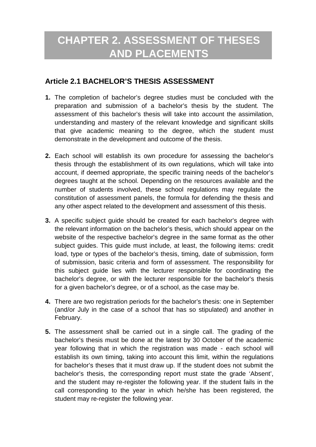### **CHAPTER 2. ASSESSMENT OF THESES AND PLACEMENTS**

#### **Article 2.1 BACHELOR'S THESIS ASSESSMENT**

- **1.** The completion of bachelor's degree studies must be concluded with the preparation and submission of a bachelor's thesis by the student. The assessment of this bachelor's thesis will take into account the assimilation, understanding and mastery of the relevant knowledge and significant skills that give academic meaning to the degree, which the student must demonstrate in the development and outcome of the thesis.
- **2.** Each school will establish its own procedure for assessing the bachelor's thesis through the establishment of its own regulations, which will take into account, if deemed appropriate, the specific training needs of the bachelor's degrees taught at the school. Depending on the resources available and the number of students involved, these school regulations may regulate the constitution of assessment panels, the formula for defending the thesis and any other aspect related to the development and assessment of this thesis.
- **3.** A specific subject guide should be created for each bachelor's degree with the relevant information on the bachelor's thesis, which should appear on the website of the respective bachelor's degree in the same format as the other subject guides. This guide must include, at least, the following items: credit load, type or types of the bachelor's thesis, timing, date of submission, form of submission, basic criteria and form of assessment. The responsibility for this subject guide lies with the lecturer responsible for coordinating the bachelor's degree, or with the lecturer responsible for the bachelor's thesis for a given bachelor's degree, or of a school, as the case may be.
- **4.** There are two registration periods for the bachelor's thesis: one in September (and/or July in the case of a school that has so stipulated) and another in February.
- **5.** The assessment shall be carried out in a single call. The grading of the bachelor's thesis must be done at the latest by 30 October of the academic year following that in which the registration was made - each school will establish its own timing, taking into account this limit, within the regulations for bachelor's theses that it must draw up. If the student does not submit the bachelor's thesis, the corresponding report must state the grade 'Absent', and the student may re-register the following year. If the student fails in the call corresponding to the year in which he/she has been registered, the student may re-register the following year.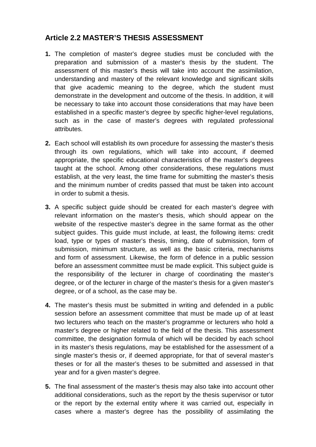#### **Article 2.2 MASTER'S THESIS ASSESSMENT**

- **1.** The completion of master's degree studies must be concluded with the preparation and submission of a master's thesis by the student. The assessment of this master's thesis will take into account the assimilation, understanding and mastery of the relevant knowledge and significant skills that give academic meaning to the degree, which the student must demonstrate in the development and outcome of the thesis. In addition, it will be necessary to take into account those considerations that may have been established in a specific master's degree by specific higher-level regulations, such as in the case of master's degrees with regulated professional attributes.
- **2.** Each school will establish its own procedure for assessing the master's thesis through its own regulations, which will take into account, if deemed appropriate, the specific educational characteristics of the master's degrees taught at the school. Among other considerations, these regulations must establish, at the very least, the time frame for submitting the master's thesis and the minimum number of credits passed that must be taken into account in order to submit a thesis.
- **3.** A specific subject guide should be created for each master's degree with relevant information on the master's thesis, which should appear on the website of the respective master's degree in the same format as the other subject guides. This guide must include, at least, the following items: credit load, type or types of master's thesis, timing, date of submission, form of submission, minimum structure, as well as the basic criteria, mechanisms and form of assessment. Likewise, the form of defence in a public session before an assessment committee must be made explicit. This subject guide is the responsibility of the lecturer in charge of coordinating the master's degree, or of the lecturer in charge of the master's thesis for a given master's degree, or of a school, as the case may be.
- **4.** The master's thesis must be submitted in writing and defended in a public session before an assessment committee that must be made up of at least two lecturers who teach on the master's programme or lecturers who hold a master's degree or higher related to the field of the thesis. This assessment committee, the designation formula of which will be decided by each school in its master's thesis regulations, may be established for the assessment of a single master's thesis or, if deemed appropriate, for that of several master's theses or for all the master's theses to be submitted and assessed in that year and for a given master's degree.
- **5.** The final assessment of the master's thesis may also take into account other additional considerations, such as the report by the thesis supervisor or tutor or the report by the external entity where it was carried out, especially in cases where a master's degree has the possibility of assimilating the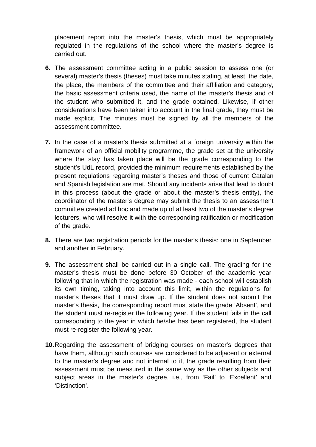placement report into the master's thesis, which must be appropriately regulated in the regulations of the school where the master's degree is carried out.

- **6.** The assessment committee acting in a public session to assess one (or several) master's thesis (theses) must take minutes stating, at least, the date, the place, the members of the committee and their affiliation and category, the basic assessment criteria used, the name of the master's thesis and of the student who submitted it, and the grade obtained. Likewise, if other considerations have been taken into account in the final grade, they must be made explicit. The minutes must be signed by all the members of the assessment committee.
- **7.** In the case of a master's thesis submitted at a foreign university within the framework of an official mobility programme, the grade set at the university where the stay has taken place will be the grade corresponding to the student's UdL record, provided the minimum requirements established by the present regulations regarding master's theses and those of current Catalan and Spanish legislation are met. Should any incidents arise that lead to doubt in this process (about the grade or about the master's thesis entity), the coordinator of the master's degree may submit the thesis to an assessment committee created ad hoc and made up of at least two of the master's degree lecturers, who will resolve it with the corresponding ratification or modification of the grade.
- **8.** There are two registration periods for the master's thesis: one in September and another in February.
- **9.** The assessment shall be carried out in a single call. The grading for the master's thesis must be done before 30 October of the academic year following that in which the registration was made - each school will establish its own timing, taking into account this limit, within the regulations for master's theses that it must draw up. If the student does not submit the master's thesis, the corresponding report must state the grade 'Absent', and the student must re-register the following year. If the student fails in the call corresponding to the year in which he/she has been registered, the student must re-register the following year.
- **10.**Regarding the assessment of bridging courses on master's degrees that have them, although such courses are considered to be adjacent or external to the master's degree and not internal to it, the grade resulting from their assessment must be measured in the same way as the other subjects and subject areas in the master's degree, i.e., from 'Fail' to 'Excellent' and 'Distinction'.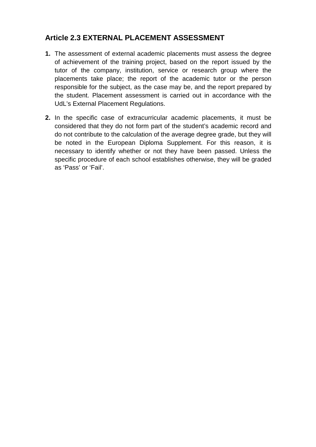#### **Article 2.3 EXTERNAL PLACEMENT ASSESSMENT**

- **1.** The assessment of external academic placements must assess the degree of achievement of the training project, based on the report issued by the tutor of the company, institution, service or research group where the placements take place; the report of the academic tutor or the person responsible for the subject, as the case may be, and the report prepared by the student. Placement assessment is carried out in accordance with the UdL's External Placement Regulations.
- **2.** In the specific case of extracurricular academic placements, it must be considered that they do not form part of the student's academic record and do not contribute to the calculation of the average degree grade, but they will be noted in the European Diploma Supplement. For this reason, it is necessary to identify whether or not they have been passed. Unless the specific procedure of each school establishes otherwise, they will be graded as 'Pass' or 'Fail'.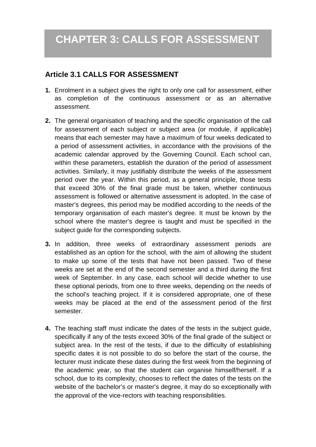#### **Article 3.1 CALLS FOR ASSESSMENT**

- **1.** Enrolment in a subject gives the right to only one call for assessment, either as completion of the continuous assessment or as an alternative assessment.
- **2.** The general organisation of teaching and the specific organisation of the call for assessment of each subject or subject area (or module, if applicable) means that each semester may have a maximum of four weeks dedicated to a period of assessment activities, in accordance with the provisions of the academic calendar approved by the Governing Council. Each school can, within these parameters, establish the duration of the period of assessment activities. Similarly, it may justifiably distribute the weeks of the assessment period over the year. Within this period, as a general principle, those tests that exceed 30% of the final grade must be taken, whether continuous assessment is followed or alternative assessment is adopted. In the case of master's degrees, this period may be modified according to the needs of the temporary organisation of each master's degree. It must be known by the school where the master's degree is taught and must be specified in the subject guide for the corresponding subjects.
- **3.** In addition, three weeks of extraordinary assessment periods are established as an option for the school, with the aim of allowing the student to make up some of the tests that have not been passed. Two of these weeks are set at the end of the second semester and a third during the first week of September. In any case, each school will decide whether to use these optional periods, from one to three weeks, depending on the needs of the school's teaching project. If it is considered appropriate, one of these weeks may be placed at the end of the assessment period of the first semester.
- **4.** The teaching staff must indicate the dates of the tests in the subject guide, specifically if any of the tests exceed 30% of the final grade of the subject or subject area. In the rest of the tests, if due to the difficulty of establishing specific dates it is not possible to do so before the start of the course, the lecturer must indicate these dates during the first week from the beginning of the academic year, so that the student can organise himself/herself. If a school, due to its complexity, chooses to reflect the dates of the tests on the website of the bachelor's or master's degree, it may do so exceptionally with the approval of the vice-rectors with teaching responsibilities.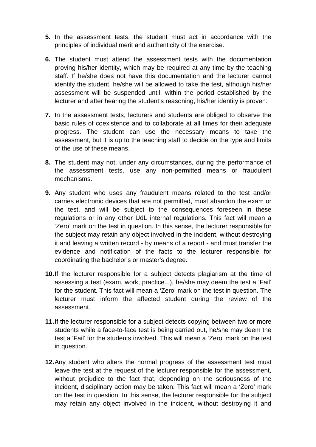- **5.** In the assessment tests, the student must act in accordance with the principles of individual merit and authenticity of the exercise.
- **6.** The student must attend the assessment tests with the documentation proving his/her identity, which may be required at any time by the teaching staff. If he/she does not have this documentation and the lecturer cannot identify the student, he/she will be allowed to take the test, although his/her assessment will be suspended until, within the period established by the lecturer and after hearing the student's reasoning, his/her identity is proven.
- **7.** In the assessment tests, lecturers and students are obliged to observe the basic rules of coexistence and to collaborate at all times for their adequate progress. The student can use the necessary means to take the assessment, but it is up to the teaching staff to decide on the type and limits of the use of these means.
- **8.** The student may not, under any circumstances, during the performance of the assessment tests, use any non-permitted means or fraudulent mechanisms.
- **9.** Any student who uses any fraudulent means related to the test and/or carries electronic devices that are not permitted, must abandon the exam or the test, and will be subject to the consequences foreseen in these regulations or in any other UdL internal regulations. This fact will mean a 'Zero' mark on the test in question. In this sense, the lecturer responsible for the subject may retain any object involved in the incident, without destroying it and leaving a written record - by means of a report - and must transfer the evidence and notification of the facts to the lecturer responsible for coordinating the bachelor's or master's degree.
- **10.**If the lecturer responsible for a subject detects plagiarism at the time of assessing a test (exam, work, practice...), he/she may deem the test a 'Fail' for the student. This fact will mean a 'Zero' mark on the test in question. The lecturer must inform the affected student during the review of the assessment.
- **11.**If the lecturer responsible for a subject detects copying between two or more students while a face-to-face test is being carried out, he/she may deem the test a 'Fail' for the students involved. This will mean a 'Zero' mark on the test in question.
- **12.**Any student who alters the normal progress of the assessment test must leave the test at the request of the lecturer responsible for the assessment, without prejudice to the fact that, depending on the seriousness of the incident, disciplinary action may be taken. This fact will mean a 'Zero' mark on the test in question. In this sense, the lecturer responsible for the subject may retain any object involved in the incident, without destroying it and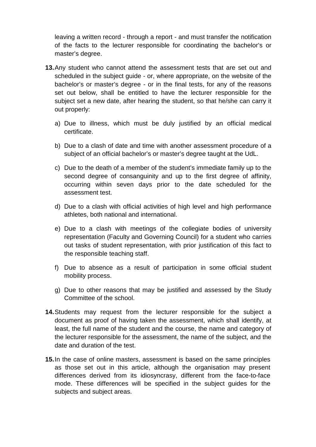leaving a written record - through a report - and must transfer the notification of the facts to the lecturer responsible for coordinating the bachelor's or master's degree.

- **13.**Any student who cannot attend the assessment tests that are set out and scheduled in the subject guide - or, where appropriate, on the website of the bachelor's or master's degree - or in the final tests, for any of the reasons set out below, shall be entitled to have the lecturer responsible for the subject set a new date, after hearing the student, so that he/she can carry it out properly:
	- a) Due to illness, which must be duly justified by an official medical certificate.
	- b) Due to a clash of date and time with another assessment procedure of a subject of an official bachelor's or master's degree taught at the UdL.
	- c) Due to the death of a member of the student's immediate family up to the second degree of consanguinity and up to the first degree of affinity, occurring within seven days prior to the date scheduled for the assessment test.
	- d) Due to a clash with official activities of high level and high performance athletes, both national and international.
	- e) Due to a clash with meetings of the collegiate bodies of university representation (Faculty and Governing Council) for a student who carries out tasks of student representation, with prior justification of this fact to the responsible teaching staff.
	- f) Due to absence as a result of participation in some official student mobility process.
	- g) Due to other reasons that may be justified and assessed by the Study Committee of the school.
- **14.**Students may request from the lecturer responsible for the subject a document as proof of having taken the assessment, which shall identify, at least, the full name of the student and the course, the name and category of the lecturer responsible for the assessment, the name of the subject, and the date and duration of the test.
- **15.**In the case of online masters, assessment is based on the same principles as those set out in this article, although the organisation may present differences derived from its idiosyncrasy, different from the face-to-face mode. These differences will be specified in the subject guides for the subjects and subject areas.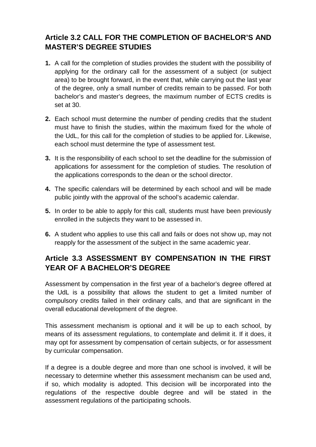#### **Article 3.2 CALL FOR THE COMPLETION OF BACHELOR'S AND MASTER'S DEGREE STUDIES**

- **1.** A call for the completion of studies provides the student with the possibility of applying for the ordinary call for the assessment of a subject (or subject area) to be brought forward, in the event that, while carrying out the last year of the degree, only a small number of credits remain to be passed. For both bachelor's and master's degrees, the maximum number of ECTS credits is set at 30.
- **2.** Each school must determine the number of pending credits that the student must have to finish the studies, within the maximum fixed for the whole of the UdL, for this call for the completion of studies to be applied for. Likewise, each school must determine the type of assessment test.
- **3.** It is the responsibility of each school to set the deadline for the submission of applications for assessment for the completion of studies. The resolution of the applications corresponds to the dean or the school director.
- **4.** The specific calendars will be determined by each school and will be made public jointly with the approval of the school's academic calendar.
- **5.** In order to be able to apply for this call, students must have been previously enrolled in the subjects they want to be assessed in.
- **6.** A student who applies to use this call and fails or does not show up, may not reapply for the assessment of the subject in the same academic year.

#### **Article 3.3 ASSESSMENT BY COMPENSATION IN THE FIRST YEAR OF A BACHELOR'S DEGREE**

Assessment by compensation in the first year of a bachelor's degree offered at the UdL is a possibility that allows the student to get a limited number of compulsory credits failed in their ordinary calls, and that are significant in the overall educational development of the degree.

This assessment mechanism is optional and it will be up to each school, by means of its assessment regulations, to contemplate and delimit it. If it does, it may opt for assessment by compensation of certain subjects, or for assessment by curricular compensation.

If a degree is a double degree and more than one school is involved, it will be necessary to determine whether this assessment mechanism can be used and, if so, which modality is adopted. This decision will be incorporated into the regulations of the respective double degree and will be stated in the assessment regulations of the participating schools.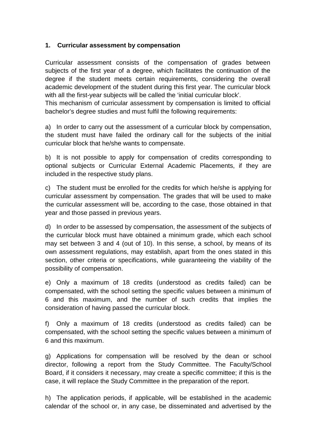#### **1. Curricular assessment by compensation**

Curricular assessment consists of the compensation of grades between subjects of the first year of a degree, which facilitates the continuation of the degree if the student meets certain requirements, considering the overall academic development of the student during this first year. The curricular block with all the first-year subjects will be called the 'initial curricular block'.

This mechanism of curricular assessment by compensation is limited to official bachelor's degree studies and must fulfil the following requirements:

a) In order to carry out the assessment of a curricular block by compensation, the student must have failed the ordinary call for the subjects of the initial curricular block that he/she wants to compensate.

b) It is not possible to apply for compensation of credits corresponding to optional subjects or Curricular External Academic Placements, if they are included in the respective study plans.

c) The student must be enrolled for the credits for which he/she is applying for curricular assessment by compensation. The grades that will be used to make the curricular assessment will be, according to the case, those obtained in that year and those passed in previous years.

d) In order to be assessed by compensation, the assessment of the subjects of the curricular block must have obtained a minimum grade, which each school may set between 3 and 4 (out of 10). In this sense, a school, by means of its own assessment regulations, may establish, apart from the ones stated in this section, other criteria or specifications, while guaranteeing the viability of the possibility of compensation.

e) Only a maximum of 18 credits (understood as credits failed) can be compensated, with the school setting the specific values between a minimum of 6 and this maximum, and the number of such credits that implies the consideration of having passed the curricular block.

f) Only a maximum of 18 credits (understood as credits failed) can be compensated, with the school setting the specific values between a minimum of 6 and this maximum.

g) Applications for compensation will be resolved by the dean or school director, following a report from the Study Committee. The Faculty/School Board, if it considers it necessary, may create a specific committee; if this is the case, it will replace the Study Committee in the preparation of the report.

h) The application periods, if applicable, will be established in the academic calendar of the school or, in any case, be disseminated and advertised by the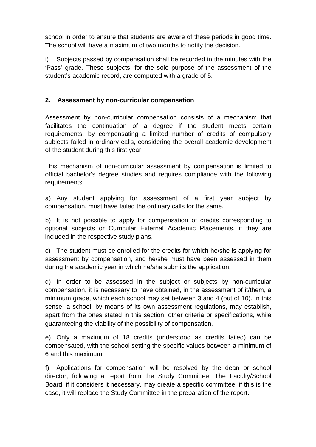school in order to ensure that students are aware of these periods in good time. The school will have a maximum of two months to notify the decision.

i) Subjects passed by compensation shall be recorded in the minutes with the 'Pass' grade. These subjects, for the sole purpose of the assessment of the student's academic record, are computed with a grade of 5.

#### **2. Assessment by non-curricular compensation**

Assessment by non-curricular compensation consists of a mechanism that facilitates the continuation of a degree if the student meets certain requirements, by compensating a limited number of credits of compulsory subjects failed in ordinary calls, considering the overall academic development of the student during this first year.

This mechanism of non-curricular assessment by compensation is limited to official bachelor's degree studies and requires compliance with the following requirements:

a) Any student applying for assessment of a first year subject by compensation, must have failed the ordinary calls for the same.

b) It is not possible to apply for compensation of credits corresponding to optional subjects or Curricular External Academic Placements, if they are included in the respective study plans.

c) The student must be enrolled for the credits for which he/she is applying for assessment by compensation, and he/she must have been assessed in them during the academic year in which he/she submits the application.

d) In order to be assessed in the subject or subjects by non-curricular compensation, it is necessary to have obtained, in the assessment of it/them, a minimum grade, which each school may set between 3 and 4 (out of 10). In this sense, a school, by means of its own assessment regulations, may establish, apart from the ones stated in this section, other criteria or specifications, while guaranteeing the viability of the possibility of compensation.

e) Only a maximum of 18 credits (understood as credits failed) can be compensated, with the school setting the specific values between a minimum of 6 and this maximum.

f) Applications for compensation will be resolved by the dean or school director, following a report from the Study Committee. The Faculty/School Board, if it considers it necessary, may create a specific committee; if this is the case, it will replace the Study Committee in the preparation of the report.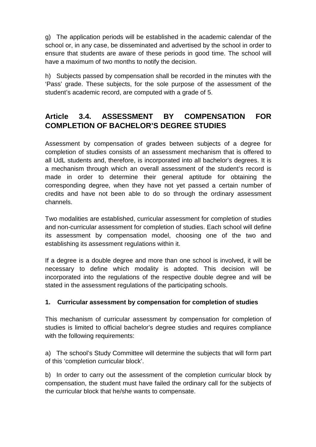g) The application periods will be established in the academic calendar of the school or, in any case, be disseminated and advertised by the school in order to ensure that students are aware of these periods in good time. The school will have a maximum of two months to notify the decision.

h) Subjects passed by compensation shall be recorded in the minutes with the 'Pass' grade. These subjects, for the sole purpose of the assessment of the student's academic record, are computed with a grade of 5.

#### **Article 3.4. ASSESSMENT BY COMPENSATION FOR COMPLETION OF BACHELOR'S DEGREE STUDIES**

Assessment by compensation of grades between subjects of a degree for completion of studies consists of an assessment mechanism that is offered to all UdL students and, therefore, is incorporated into all bachelor's degrees. It is a mechanism through which an overall assessment of the student's record is made in order to determine their general aptitude for obtaining the corresponding degree, when they have not yet passed a certain number of credits and have not been able to do so through the ordinary assessment channels.

Two modalities are established, curricular assessment for completion of studies and non-curricular assessment for completion of studies. Each school will define its assessment by compensation model, choosing one of the two and establishing its assessment regulations within it.

If a degree is a double degree and more than one school is involved, it will be necessary to define which modality is adopted. This decision will be incorporated into the regulations of the respective double degree and will be stated in the assessment regulations of the participating schools.

#### **1. Curricular assessment by compensation for completion of studies**

This mechanism of curricular assessment by compensation for completion of studies is limited to official bachelor's degree studies and requires compliance with the following requirements:

a) The school's Study Committee will determine the subjects that will form part of this 'completion curricular block'.

b) In order to carry out the assessment of the completion curricular block by compensation, the student must have failed the ordinary call for the subjects of the curricular block that he/she wants to compensate.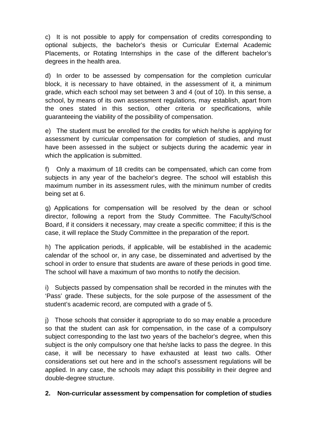c) It is not possible to apply for compensation of credits corresponding to optional subjects, the bachelor's thesis or Curricular External Academic Placements, or Rotating Internships in the case of the different bachelor's degrees in the health area.

d) In order to be assessed by compensation for the completion curricular block, it is necessary to have obtained, in the assessment of it, a minimum grade, which each school may set between 3 and 4 (out of 10). In this sense, a school, by means of its own assessment regulations, may establish, apart from the ones stated in this section, other criteria or specifications, while guaranteeing the viability of the possibility of compensation.

e) The student must be enrolled for the credits for which he/she is applying for assessment by curricular compensation for completion of studies, and must have been assessed in the subject or subjects during the academic year in which the application is submitted.

f) Only a maximum of 18 credits can be compensated, which can come from subjects in any year of the bachelor's degree. The school will establish this maximum number in its assessment rules, with the minimum number of credits being set at 6.

g) Applications for compensation will be resolved by the dean or school director, following a report from the Study Committee. The Faculty/School Board, if it considers it necessary, may create a specific committee; if this is the case, it will replace the Study Committee in the preparation of the report.

h) The application periods, if applicable, will be established in the academic calendar of the school or, in any case, be disseminated and advertised by the school in order to ensure that students are aware of these periods in good time. The school will have a maximum of two months to notify the decision.

i) Subjects passed by compensation shall be recorded in the minutes with the 'Pass' grade. These subjects, for the sole purpose of the assessment of the student's academic record, are computed with a grade of 5.

j) Those schools that consider it appropriate to do so may enable a procedure so that the student can ask for compensation, in the case of a compulsory subject corresponding to the last two years of the bachelor's degree, when this subject is the only compulsory one that he/she lacks to pass the degree. In this case, it will be necessary to have exhausted at least two calls. Other considerations set out here and in the school's assessment regulations will be applied. In any case, the schools may adapt this possibility in their degree and double-degree structure.

#### **2. Non-curricular assessment by compensation for completion of studies**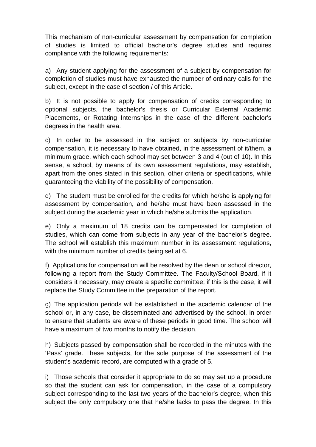This mechanism of non-curricular assessment by compensation for completion of studies is limited to official bachelor's degree studies and requires compliance with the following requirements:

a) Any student applying for the assessment of a subject by compensation for completion of studies must have exhausted the number of ordinary calls for the subject, except in the case of section *i* of this Article.

b) It is not possible to apply for compensation of credits corresponding to optional subjects, the bachelor's thesis or Curricular External Academic Placements, or Rotating Internships in the case of the different bachelor's degrees in the health area.

c) In order to be assessed in the subject or subjects by non-curricular compensation, it is necessary to have obtained, in the assessment of it/them, a minimum grade, which each school may set between 3 and 4 (out of 10). In this sense, a school, by means of its own assessment regulations, may establish, apart from the ones stated in this section, other criteria or specifications, while guaranteeing the viability of the possibility of compensation.

d) The student must be enrolled for the credits for which he/she is applying for assessment by compensation, and he/she must have been assessed in the subject during the academic year in which he/she submits the application.

e) Only a maximum of 18 credits can be compensated for completion of studies, which can come from subjects in any year of the bachelor's degree. The school will establish this maximum number in its assessment regulations, with the minimum number of credits being set at 6.

f) Applications for compensation will be resolved by the dean or school director, following a report from the Study Committee. The Faculty/School Board, if it considers it necessary, may create a specific committee; if this is the case, it will replace the Study Committee in the preparation of the report.

g) The application periods will be established in the academic calendar of the school or, in any case, be disseminated and advertised by the school, in order to ensure that students are aware of these periods in good time. The school will have a maximum of two months to notify the decision.

h) Subjects passed by compensation shall be recorded in the minutes with the 'Pass' grade. These subjects, for the sole purpose of the assessment of the student's academic record, are computed with a grade of 5.

i) Those schools that consider it appropriate to do so may set up a procedure so that the student can ask for compensation, in the case of a compulsory subject corresponding to the last two years of the bachelor's degree, when this subject the only compulsory one that he/she lacks to pass the degree. In this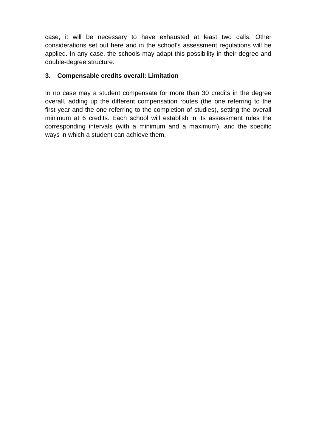case, it will be necessary to have exhausted at least two calls. Other considerations set out here and in the school's assessment regulations will be applied. In any case, the schools may adapt this possibility in their degree and double-degree structure.

#### **3. Compensable credits overall: Limitation**

In no case may a student compensate for more than 30 credits in the degree overall, adding up the different compensation routes (the one referring to the first year and the one referring to the completion of studies), setting the overall minimum at 6 credits. Each school will establish in its assessment rules the corresponding intervals (with a minimum and a maximum), and the specific ways in which a student can achieve them.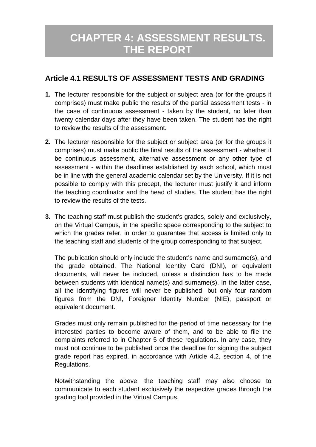### **CHAPTER 4: ASSESSMENT RESULTS. THE REPORT**

#### **Article 4.1 RESULTS OF ASSESSMENT TESTS AND GRADING**

- **1.** The lecturer responsible for the subject or subject area (or for the groups it comprises) must make public the results of the partial assessment tests - in the case of continuous assessment - taken by the student, no later than twenty calendar days after they have been taken. The student has the right to review the results of the assessment.
- **2.** The lecturer responsible for the subject or subject area (or for the groups it comprises) must make public the final results of the assessment - whether it be continuous assessment, alternative assessment or any other type of assessment - within the deadlines established by each school, which must be in line with the general academic calendar set by the University. If it is not possible to comply with this precept, the lecturer must justify it and inform the teaching coordinator and the head of studies. The student has the right to review the results of the tests.
- **3.** The teaching staff must publish the student's grades, solely and exclusively, on the Virtual Campus, in the specific space corresponding to the subject to which the grades refer, in order to guarantee that access is limited only to the teaching staff and students of the group corresponding to that subject.

The publication should only include the student's name and surname(s), and the grade obtained. The National Identity Card (DNI), or equivalent documents, will never be included, unless a distinction has to be made between students with identical name(s) and surname(s). In the latter case, all the identifying figures will never be published, but only four random figures from the DNI, Foreigner Identity Number (NIE), passport or equivalent document.

Grades must only remain published for the period of time necessary for the interested parties to become aware of them, and to be able to file the complaints referred to in Chapter 5 of these regulations. In any case, they must not continue to be published once the deadline for signing the subject grade report has expired, in accordance with Article 4.2, section 4, of the Regulations.

Notwithstanding the above, the teaching staff may also choose to communicate to each student exclusively the respective grades through the grading tool provided in the Virtual Campus.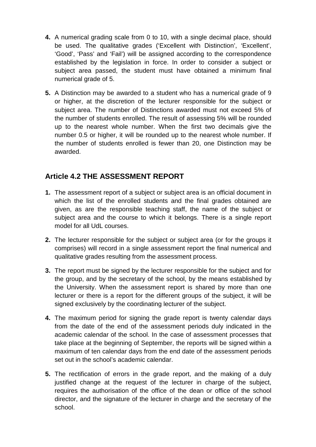- **4.** A numerical grading scale from 0 to 10, with a single decimal place, should be used. The qualitative grades ('Excellent with Distinction', 'Excellent', 'Good', 'Pass' and 'Fail') will be assigned according to the correspondence established by the legislation in force. In order to consider a subject or subject area passed, the student must have obtained a minimum final numerical grade of 5.
- **5.** A Distinction may be awarded to a student who has a numerical grade of 9 or higher, at the discretion of the lecturer responsible for the subject or subject area. The number of Distinctions awarded must not exceed 5% of the number of students enrolled. The result of assessing 5% will be rounded up to the nearest whole number. When the first two decimals give the number 0.5 or higher, it will be rounded up to the nearest whole number. If the number of students enrolled is fewer than 20, one Distinction may be awarded.

#### **Article 4.2 THE ASSESSMENT REPORT**

- **1.** The assessment report of a subject or subject area is an official document in which the list of the enrolled students and the final grades obtained are given, as are the responsible teaching staff, the name of the subject or subject area and the course to which it belongs. There is a single report model for all UdL courses.
- **2.** The lecturer responsible for the subject or subject area (or for the groups it comprises) will record in a single assessment report the final numerical and qualitative grades resulting from the assessment process.
- **3.** The report must be signed by the lecturer responsible for the subject and for the group, and by the secretary of the school, by the means established by the University. When the assessment report is shared by more than one lecturer or there is a report for the different groups of the subject, it will be signed exclusively by the coordinating lecturer of the subject.
- **4.** The maximum period for signing the grade report is twenty calendar days from the date of the end of the assessment periods duly indicated in the academic calendar of the school. In the case of assessment processes that take place at the beginning of September, the reports will be signed within a maximum of ten calendar days from the end date of the assessment periods set out in the school's academic calendar.
- **5.** The rectification of errors in the grade report, and the making of a duly justified change at the request of the lecturer in charge of the subject, requires the authorisation of the office of the dean or office of the school director, and the signature of the lecturer in charge and the secretary of the school.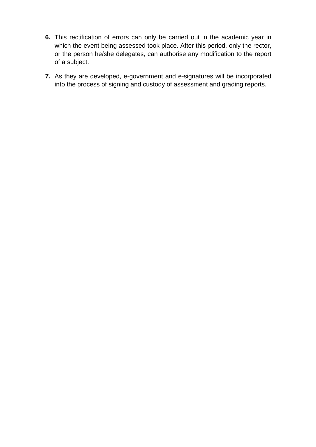- **6.** This rectification of errors can only be carried out in the academic year in which the event being assessed took place. After this period, only the rector, or the person he/she delegates, can authorise any modification to the report of a subject.
- **7.** As they are developed, e-government and e-signatures will be incorporated into the process of signing and custody of assessment and grading reports.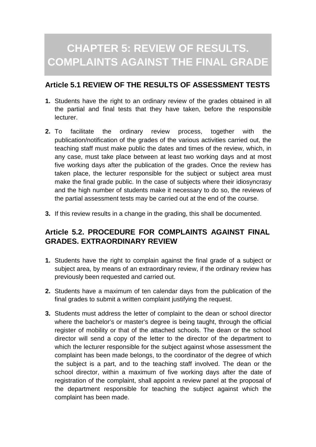## **CHAPTER 5: REVIEW OF RESULTS. COMPLAINTS AGAINST THE FINAL GRADE**

#### **Article 5.1 REVIEW OF THE RESULTS OF ASSESSMENT TESTS**

- **1.** Students have the right to an ordinary review of the grades obtained in all the partial and final tests that they have taken, before the responsible lecturer.
- **2.** To facilitate the ordinary review process, together with the publication/notification of the grades of the various activities carried out, the teaching staff must make public the dates and times of the review, which, in any case, must take place between at least two working days and at most five working days after the publication of the grades. Once the review has taken place, the lecturer responsible for the subject or subject area must make the final grade public. In the case of subjects where their idiosyncrasy and the high number of students make it necessary to do so, the reviews of the partial assessment tests may be carried out at the end of the course.
- **3.** If this review results in a change in the grading, this shall be documented.

#### **Article 5.2. PROCEDURE FOR COMPLAINTS AGAINST FINAL GRADES. EXTRAORDINARY REVIEW**

- **1.** Students have the right to complain against the final grade of a subject or subject area, by means of an extraordinary review, if the ordinary review has previously been requested and carried out.
- **2.** Students have a maximum of ten calendar days from the publication of the final grades to submit a written complaint justifying the request.
- **3.** Students must address the letter of complaint to the dean or school director where the bachelor's or master's degree is being taught, through the official register of mobility or that of the attached schools. The dean or the school director will send a copy of the letter to the director of the department to which the lecturer responsible for the subject against whose assessment the complaint has been made belongs, to the coordinator of the degree of which the subject is a part, and to the teaching staff involved. The dean or the school director, within a maximum of five working days after the date of registration of the complaint, shall appoint a review panel at the proposal of the department responsible for teaching the subject against which the complaint has been made.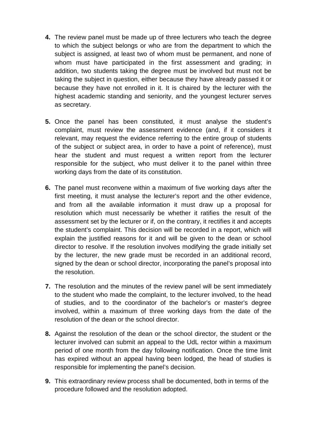- **4.** The review panel must be made up of three lecturers who teach the degree to which the subject belongs or who are from the department to which the subject is assigned, at least two of whom must be permanent, and none of whom must have participated in the first assessment and grading; in addition, two students taking the degree must be involved but must not be taking the subject in question, either because they have already passed it or because they have not enrolled in it. It is chaired by the lecturer with the highest academic standing and seniority, and the youngest lecturer serves as secretary.
- **5.** Once the panel has been constituted, it must analyse the student's complaint, must review the assessment evidence (and, if it considers it relevant, may request the evidence referring to the entire group of students of the subject or subject area, in order to have a point of reference), must hear the student and must request a written report from the lecturer responsible for the subject, who must deliver it to the panel within three working days from the date of its constitution.
- **6.** The panel must reconvene within a maximum of five working days after the first meeting, it must analyse the lecturer's report and the other evidence, and from all the available information it must draw up a proposal for resolution which must necessarily be whether it ratifies the result of the assessment set by the lecturer or if, on the contrary, it rectifies it and accepts the student's complaint. This decision will be recorded in a report, which will explain the justified reasons for it and will be given to the dean or school director to resolve. If the resolution involves modifying the grade initially set by the lecturer, the new grade must be recorded in an additional record, signed by the dean or school director, incorporating the panel's proposal into the resolution.
- **7.** The resolution and the minutes of the review panel will be sent immediately to the student who made the complaint, to the lecturer involved, to the head of studies, and to the coordinator of the bachelor's or master's degree involved, within a maximum of three working days from the date of the resolution of the dean or the school director.
- **8.** Against the resolution of the dean or the school director, the student or the lecturer involved can submit an appeal to the UdL rector within a maximum period of one month from the day following notification. Once the time limit has expired without an appeal having been lodged, the head of studies is responsible for implementing the panel's decision.
- **9.** This extraordinary review process shall be documented, both in terms of the procedure followed and the resolution adopted.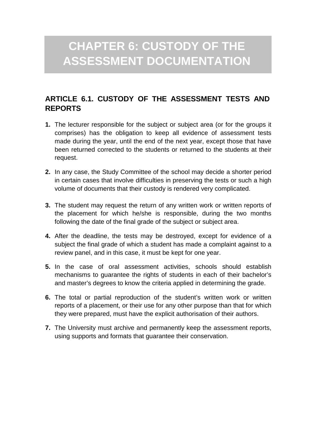# **CHAPTER 6: CUSTODY OF THE ASSESSMENT DOCUMENTATION**

#### **ARTICLE 6.1. CUSTODY OF THE ASSESSMENT TESTS AND REPORTS**

- **1.** The lecturer responsible for the subject or subject area (or for the groups it comprises) has the obligation to keep all evidence of assessment tests made during the year, until the end of the next year, except those that have been returned corrected to the students or returned to the students at their request.
- **2.** In any case, the Study Committee of the school may decide a shorter period in certain cases that involve difficulties in preserving the tests or such a high volume of documents that their custody is rendered very complicated.
- **3.** The student may request the return of any written work or written reports of the placement for which he/she is responsible, during the two months following the date of the final grade of the subject or subject area.
- **4.** After the deadline, the tests may be destroyed, except for evidence of a subject the final grade of which a student has made a complaint against to a review panel, and in this case, it must be kept for one year.
- **5.** In the case of oral assessment activities, schools should establish mechanisms to guarantee the rights of students in each of their bachelor's and master's degrees to know the criteria applied in determining the grade.
- **6.** The total or partial reproduction of the student's written work or written reports of a placement, or their use for any other purpose than that for which they were prepared, must have the explicit authorisation of their authors.
- **7.** The University must archive and permanently keep the assessment reports, using supports and formats that guarantee their conservation.